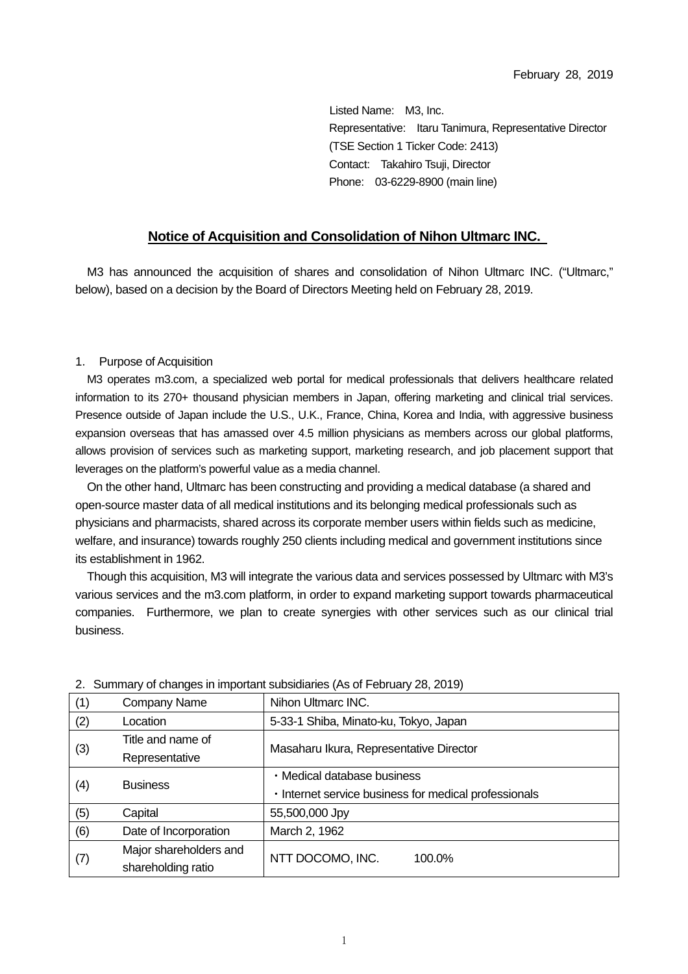Listed Name: M3, Inc. Representative: Itaru Tanimura, Representative Director (TSE Section 1 Ticker Code: 2413) Contact: Takahiro Tsuji, Director Phone: 03-6229-8900 (main line)

## **Notice of Acquisition and Consolidation of Nihon Ultmarc INC.**

M3 has announced the acquisition of shares and consolidation of Nihon Ultmarc INC. ("Ultmarc," below), based on a decision by the Board of Directors Meeting held on February 28, 2019.

## 1. Purpose of Acquisition

M3 operates m3.com, a specialized web portal for medical professionals that delivers healthcare related information to its 270+ thousand physician members in Japan, offering marketing and clinical trial services. Presence outside of Japan include the U.S., U.K., France, China, Korea and India, with aggressive business expansion overseas that has amassed over 4.5 million physicians as members across our global platforms, allows provision of services such as marketing support, marketing research, and job placement support that leverages on the platform's powerful value as a media channel.

On the other hand, Ultmarc has been constructing and providing a medical database (a shared and open-source master data of all medical institutions and its belonging medical professionals such as physicians and pharmacists, shared across its corporate member users within fields such as medicine, welfare, and insurance) towards roughly 250 clients including medical and government institutions since its establishment in 1962.

Though this acquisition, M3 will integrate the various data and services possessed by Ultmarc with M3's various services and the m3.com platform, in order to expand marketing support towards pharmaceutical companies. Furthermore, we plan to create synergies with other services such as our clinical trial business.

| (1) | Company Name           | Nihon Ultmarc INC.                                    |  |
|-----|------------------------|-------------------------------------------------------|--|
| (2) | Location               | 5-33-1 Shiba, Minato-ku, Tokyo, Japan                 |  |
| (3) | Title and name of      | Masaharu Ikura, Representative Director               |  |
|     | Representative         |                                                       |  |
| (4) | <b>Business</b>        | · Medical database business                           |  |
|     |                        | . Internet service business for medical professionals |  |
| (5) | Capital                | 55,500,000 Jpy                                        |  |
| (6) | Date of Incorporation  | March 2, 1962                                         |  |
| (7) | Major shareholders and |                                                       |  |
|     | shareholding ratio     | NTT DOCOMO, INC.<br>100.0%                            |  |

2.Summary of changes in important subsidiaries (As of February 28, 2019)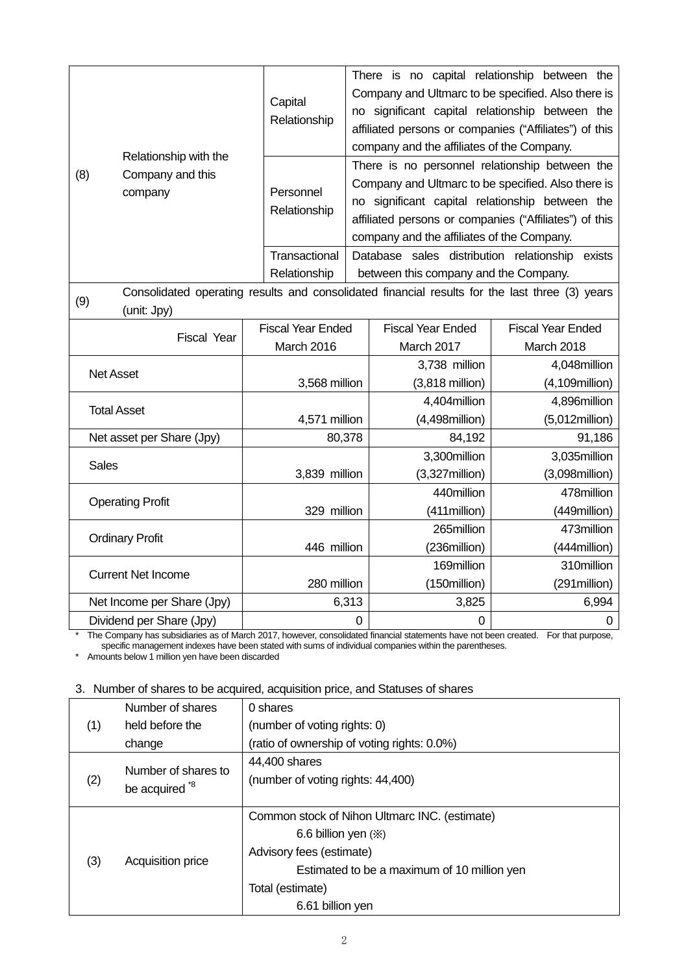|  | Relationship with the<br>(8)<br>Company and this<br>company | Capital<br>Relationship   | There is no capital relationship between the<br>Company and Ultmarc to be specified. Also there is<br>no significant capital relationship between the<br>affiliated persons or companies ("Affiliates") of this<br>company and the affiliates of the Company.   |
|--|-------------------------------------------------------------|---------------------------|-----------------------------------------------------------------------------------------------------------------------------------------------------------------------------------------------------------------------------------------------------------------|
|  |                                                             | Personnel<br>Relationship | There is no personnel relationship between the<br>Company and Ultmarc to be specified. Also there is<br>no significant capital relationship between the<br>affiliated persons or companies ("Affiliates") of this<br>company and the affiliates of the Company. |
|  |                                                             | Transactional             | Database sales distribution relationship<br>exists                                                                                                                                                                                                              |
|  |                                                             | Relationship              | between this company and the Company.                                                                                                                                                                                                                           |

Consolidated operating results and consolidated financial results for the last three (3) years (9) (unit: Jpy)

| <b>Fiscal Year</b>         | <b>Fiscal Year Ended</b> | <b>Fiscal Year Ended</b>  | <b>Fiscal Year Ended</b> |
|----------------------------|--------------------------|---------------------------|--------------------------|
|                            | March 2016               | March 2017                | March 2018               |
|                            |                          | 3,738 million             | 4,048million             |
| <b>Net Asset</b>           | 3,568 million            | $(3,818 \text{ million})$ | $(4,109$ million $)$     |
|                            |                          | 4,404 million             | 4,896million             |
| <b>Total Asset</b>         | 4,571 million            | $(4,498$ million)         | $(5,012$ million $)$     |
| Net asset per Share (Jpy)  | 80,378                   | 84,192                    | 91,186                   |
|                            |                          | 3,300 million             | 3,035million             |
| <b>Sales</b>               | 3,839 million            | $(3,327$ million)         | $(3,098$ million $)$     |
|                            |                          | 440million                | 478million               |
| <b>Operating Profit</b>    | 329 million              | (411 million)             | (449million)             |
|                            |                          | 265million                | 473million               |
| <b>Ordinary Profit</b>     | 446 million              | (236million)              | (444 million)            |
|                            |                          | 169million                | 310million               |
| <b>Current Net Income</b>  | 280 million              | (150million)              | (291 million)            |
| Net Income per Share (Jpy) | 6,313                    | 3,825                     | 6,994                    |
| Dividend per Share (Jpy)   | 0                        | 0                         | 0                        |

\* The Company has subsidiaries as of March 2017, however, consolidated financial statements have not been created. For that purpose, specific management indexes have been stated with sums of individual companies within the parentheses.

\* Amounts below 1 million yen have been discarded

## 3. Number of shares to be acquired, acquisition price, and Statuses of shares

|                           | Number of shares                                                                                         | 0 shares                                      |
|---------------------------|----------------------------------------------------------------------------------------------------------|-----------------------------------------------|
| (1)                       | held before the                                                                                          | (number of voting rights: 0)                  |
|                           | change                                                                                                   | (ratio of ownership of voting rights: 0.0%)   |
| (2)                       | Number of shares to                                                                                      | 44,400 shares                                 |
|                           |                                                                                                          | (number of voting rights: 44,400)             |
| be acquired <sup>*8</sup> |                                                                                                          |                                               |
|                           |                                                                                                          | Common stock of Nihon Ultmarc INC. (estimate) |
|                           |                                                                                                          | 6.6 billion yen $(\%)$                        |
|                           |                                                                                                          | Advisory fees (estimate)                      |
| (3)                       | Acquisition price<br>Estimated to be a maximum of 10 million yen<br>Total (estimate)<br>6.61 billion yen |                                               |
|                           |                                                                                                          |                                               |
|                           |                                                                                                          |                                               |